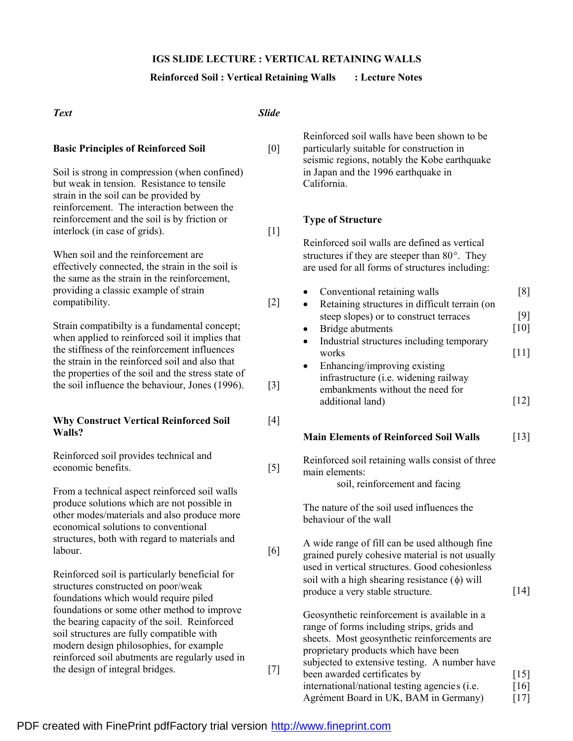### **IGS SLIDE LECTURE : VERTICAL RETAINING WALLS**

### **Reinforced Soil : Vertical Retaining Walls : Lecture Notes**

#### *Text Slide* **Basic Principles of Reinforced Soil** [0] Soil is strong in compression (when confined) but weak in tension. Resistance to tensile strain in the soil can be provided by reinforcement. The interaction between the reinforcement and the soil is by friction or interlock (in case of grids). [1] When soil and the reinforcement are effectively connected, the strain in the soil is the same as the strain in the reinforcement, providing a classic example of strain compatibility. [2] Strain compatibilty is a fundamental concept; when applied to reinforced soil it implies that the stiffness of the reinforcement influences the strain in the reinforced soil and also that the properties of the soil and the stress state of the soil influence the behaviour, Jones (1996). [3] **Why Construct Vertical Reinforced Soil Walls?** [4] Reinforced soil provides technical and economic benefits. [5] From a technical aspect reinforced soil walls produce solutions which are not possible in other modes/materials and also produce more economical solutions to conventional structures, both with regard to materials and labour. [6] Reinforced soil is particularly beneficial for structures constructed on poor/weak foundations which would require piled foundations or some other method to improve the bearing capacity of the soil. Reinforced soil structures are fully compatible with modern design philosophies, for example reinforced soil abutments are regularly used in the design of integral bridges. [7] Reinforced soil walls have been shown to be particularly suitable for construction in seismic regions, notably the Kobe earthquake in Japan and the 1996 earthquake in California. **Type of Structure** Reinforced soil walls are defined as vertical structures if they are steeper than 80°. They are used for all forms of structures including: Conventional retaining walls [8] • Retaining structures in difficult terrain (on steep slopes) or to construct terraces [9] • Bridge abutments [10] Industrial structures including temporary works [11] Enhancing/improving existing infrastructure (i.e. widening railway embankments without the need for additional land) [12] **Main Elements of Reinforced Soil Walls** [13] Reinforced soil retaining walls consist of three main elements: soil, reinforcement and facing The nature of the soil used influences the behaviour of the wall A wide range of fill can be used although fine grained purely cohesive material is not usually used in vertical structures. Good cohesionless soil with a high shearing resistance  $(\phi)$  will produce a very stable structure. [14] Geosynthetic reinforcement is available in a range of forms including strips, grids and sheets. Most geosynthetic reinforcements are proprietary products which have been subjected to extensive testing. A number have been awarded certificates by

international/national testing agencies (i.e. Agré ment Board in UK, BAM in Germany) [15] [16] [17]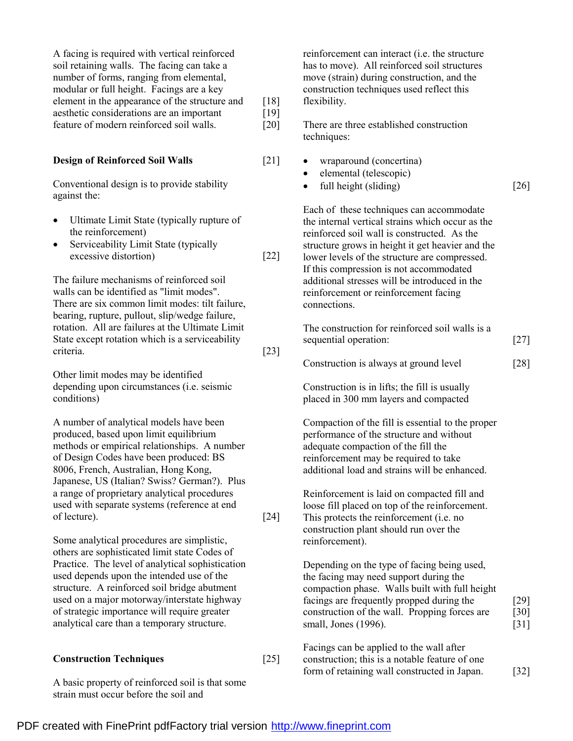| bearing, rupture, pullout, slip/wedge failure,                                                                                                                                                                                                                                                                                          |      |       |
|-----------------------------------------------------------------------------------------------------------------------------------------------------------------------------------------------------------------------------------------------------------------------------------------------------------------------------------------|------|-------|
| rotation. All are failures at the Ultimate Limit                                                                                                                                                                                                                                                                                        |      | The o |
| State except rotation which is a serviceability<br>criteria.                                                                                                                                                                                                                                                                            | [23] | seque |
|                                                                                                                                                                                                                                                                                                                                         |      | Cons  |
| Other limit modes may be identified<br>$\mathbf{1}$ and $\mathbf{1}$ and $\mathbf{1}$ and $\mathbf{1}$ and $\mathbf{1}$ and $\mathbf{1}$ and $\mathbf{1}$ and $\mathbf{1}$ and $\mathbf{1}$ and $\mathbf{1}$ and $\mathbf{1}$ and $\mathbf{1}$ and $\mathbf{1}$ and $\mathbf{1}$ and $\mathbf{1}$ and $\mathbf{1}$ and $\mathbf{1}$ and |      |       |

**Design of Reinforced Soil Walls** [21]

excessive distortion) [22]

depending upon circumstances (i.e. seismic conditions)

A facing is required with vertical reinforced soil retaining walls. The facing can take a number of forms, ranging from elemental, modular or full height. Facings are a key element in the appearance of the structure and aesthetic considerations are an important feature of modern reinforced soil walls.

Conventional design is to provide stability

· Ultimate Limit State (typically rupture of

• Serviceability Limit State (typically

The failure mechanisms of reinforced soil walls can be identified as "limit modes". There are six common limit modes: tilt failure,

against the:

the reinforcement)

A number of analytical models have been produced, based upon limit equilibrium methods or empirical relationships. A number of Design Codes have been produced: BS 8006, French, Australian, Hong Kong, Japanese, US (Italian? Swiss? German?). Plus a range of proprietary analytical procedures used with separate systems (reference at end of lecture). [24]

Some analytical procedures are simplistic, others are sophisticated limit state Codes of Practice. The level of analytical sophistication used depends upon the intended use of the structure. A reinforced soil bridge abutment used on a major motorway/interstate highway of strategic importance will require greater analytical care than a temporary structure.

#### **Construction Techniques** [25]

A basic property of reinforced soil is that some strain must occur before the soil and

reinforcement can interact (i.e. the structure has to move). All reinforced soil structures move (strain) during construction, and the construction techniques used reflect this flexibility.

There are three established construction techniques:

- wraparound (concertina)
- elemental (telescopic)

[18] [19] [20]

• full height (sliding)  $[26]$ 

Each of these techniques can accommodate the internal vertical strains which occur as the reinforced soil wall is constructed. As the structure grows in height it get heavier and the lower levels of the structure are compressed. If this compression is not accommodated additional stresses will be introduced in the reinforcement or reinforcement facing connections.

construction for reinforced soil walls is a ential operation: [27]

|  |  | Construction is always at ground level | $[28]$ |
|--|--|----------------------------------------|--------|
|--|--|----------------------------------------|--------|

Construction is in lifts; the fill is usually placed in 300 mm layers and compacted

Compaction of the fill is essential to the proper performance of the structure and without adequate compaction of the fill the reinforcement may be required to take additional load and strains will be enhanced.

Reinforcement is laid on compacted fill and loose fill placed on top of the reinforcement. This protects the reinforcement (i.e. no construction plant should run over the reinforcement).

Depending on the type of facing being used, the facing may need support during the compaction phase. Walls built with full height facings are frequently propped during the construction of the wall. Propping forces are small, Jones (1996).

[29] [30] [31]

Facings can be applied to the wall after construction; this is a notable feature of one form of retaining wall constructed in Japan. [32]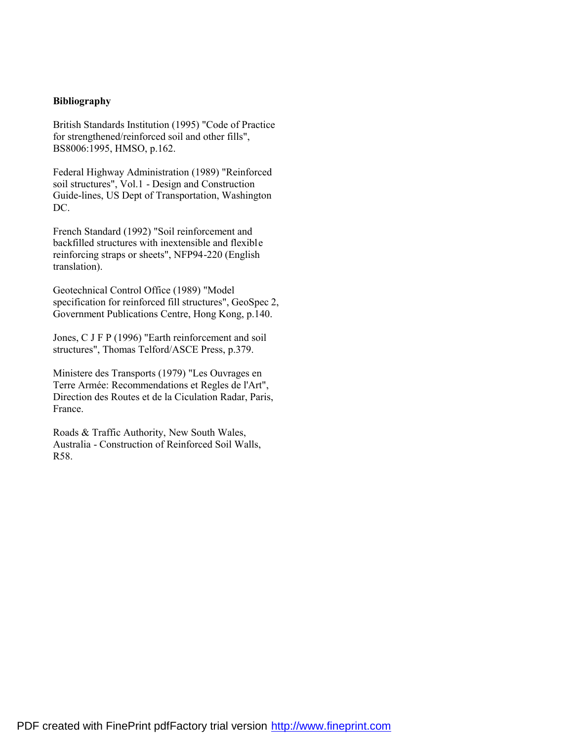## **Bibliography**

British Standards Institution (1995) "Code of Practice for strengthened/reinforced soil and other fills", BS8006:1995, HMSO, p.162.

Federal Highway Administration (1989) "Reinforced soil structures", Vol.1 - Design and Construction Guide-lines, US Dept of Transportation, Washington DC.

French Standard (1992) "Soil reinforcement and backfilled structures with inextensible and flexible reinforcing straps or sheets", NFP94-220 (English translation).

Geotechnical Control Office (1989) "Model specification for reinforced fill structures", GeoSpec 2, Government Publications Centre, Hong Kong, p.140.

Jones, C J F P (1996) "Earth reinforcement and soil structures", Thomas Telford/ASCE Press, p.379.

Ministere des Transports (1979) "Les Ouvrages en Terre Armée: Recommendations et Regles de l'Art", Direction des Routes et de la Ciculation Radar, Paris, France.

Roads & Traffic Authority, New South Wales, Australia - Construction of Reinforced Soil Walls, R58.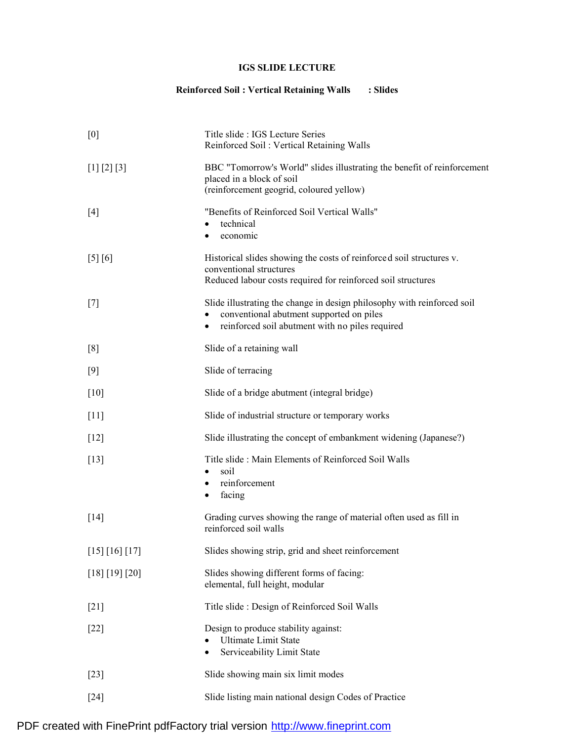# **IGS SLIDE LECTURE**

# **Reinforced Soil : Vertical Retaining Walls : Slides**

| [0]            | Title slide : IGS Lecture Series<br>Reinforced Soil: Vertical Retaining Walls                                                                                                       |
|----------------|-------------------------------------------------------------------------------------------------------------------------------------------------------------------------------------|
| [1] [2] [3]    | BBC "Tomorrow's World" slides illustrating the benefit of reinforcement<br>placed in a block of soil<br>(reinforcement geogrid, coloured yellow)                                    |
| $[4]$          | "Benefits of Reinforced Soil Vertical Walls"<br>technical<br>economic<br>٠                                                                                                          |
| [5] [6]        | Historical slides showing the costs of reinforced soil structures v.<br>conventional structures<br>Reduced labour costs required for reinforced soil structures                     |
| $[7]$          | Slide illustrating the change in design philosophy with reinforced soil<br>conventional abutment supported on piles<br>reinforced soil abutment with no piles required<br>$\bullet$ |
| [8]            | Slide of a retaining wall                                                                                                                                                           |
| [9]            | Slide of terracing                                                                                                                                                                  |
| $[10]$         | Slide of a bridge abutment (integral bridge)                                                                                                                                        |
| $[11]$         | Slide of industrial structure or temporary works                                                                                                                                    |
| $[12]$         | Slide illustrating the concept of embankment widening (Japanese?)                                                                                                                   |
| $[13]$         | Title slide: Main Elements of Reinforced Soil Walls<br>soil<br>٠<br>reinforcement<br>$\bullet$<br>facing<br>٠                                                                       |
| [14]           | Grading curves showing the range of material often used as fill in<br>reinforced soil walls                                                                                         |
| [15] [16] [17] | Slides showing strip, grid and sheet reinforcement                                                                                                                                  |
| [18] [19] [20] | Slides showing different forms of facing:<br>elemental, full height, modular                                                                                                        |
| $[21]$         | Title slide: Design of Reinforced Soil Walls                                                                                                                                        |
| $[22]$         | Design to produce stability against:<br><b>Ultimate Limit State</b><br>Serviceability Limit State<br>$\bullet$                                                                      |
| $[23]$         | Slide showing main six limit modes                                                                                                                                                  |
| $[24]$         | Slide listing main national design Codes of Practice                                                                                                                                |

PDF created with FinePrint pdfFactory trial version <http://www.fineprint.com>